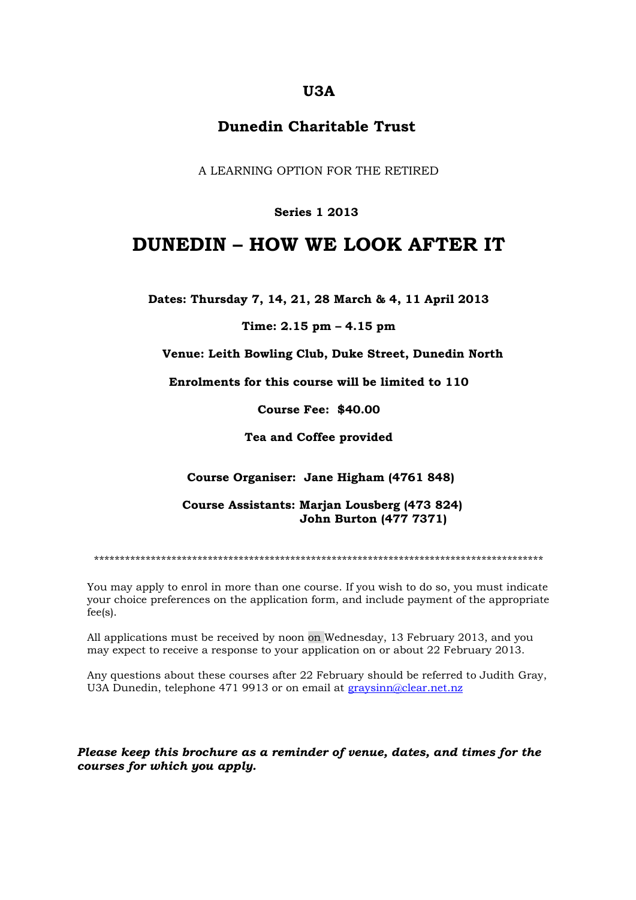## **U3A**

## **Dunedin Charitable Trust**

A LEARNING OPTION FOR THE RETIRED

### **Series 1 2013**

## **DUNEDIN – HOW WE LOOK AFTER IT**

**Dates: Thursday 7, 14, 21, 28 March & 4, 11 April 2013**

#### **Time: 2.15 pm – 4.15 pm**

**Venue: Leith Bowling Club, Duke Street, Dunedin North**

**Enrolments for this course will be limited to 110**

**Course Fee: \$40.00**

**Tea and Coffee provided**

**Course Organiser: Jane Higham (4761 848)**

 **Course Assistants: Marjan Lousberg (473 824) John Burton (477 7371)**

\*\*\*\*\*\*\*\*\*\*\*\*\*\*\*\*\*\*\*\*\*\*\*\*\*\*\*\*\*\*\*\*\*\*\*\*\*\*\*\*\*\*\*\*\*\*\*\*\*\*\*\*\*\*\*\*\*\*\*\*\*\*\*\*\*\*\*\*\*\*\*\*\*\*\*\*\*\*\*\*\*\*\*\*\*\*\*

You may apply to enrol in more than one course. If you wish to do so, you must indicate your choice preferences on the application form, and include payment of the appropriate fee(s).

All applications must be received by noon on Wednesday, 13 February 2013, and you may expect to receive a response to your application on or about 22 February 2013.

Any questions about these courses after 22 February should be referred to Judith Gray, U3A Dunedin, telephone 471 9913 or on email at [graysinn@clear.net.nz](mailto:graysinn@clear.net.nz)

*Please keep this brochure as a reminder of venue, dates, and times for the courses for which you apply.*